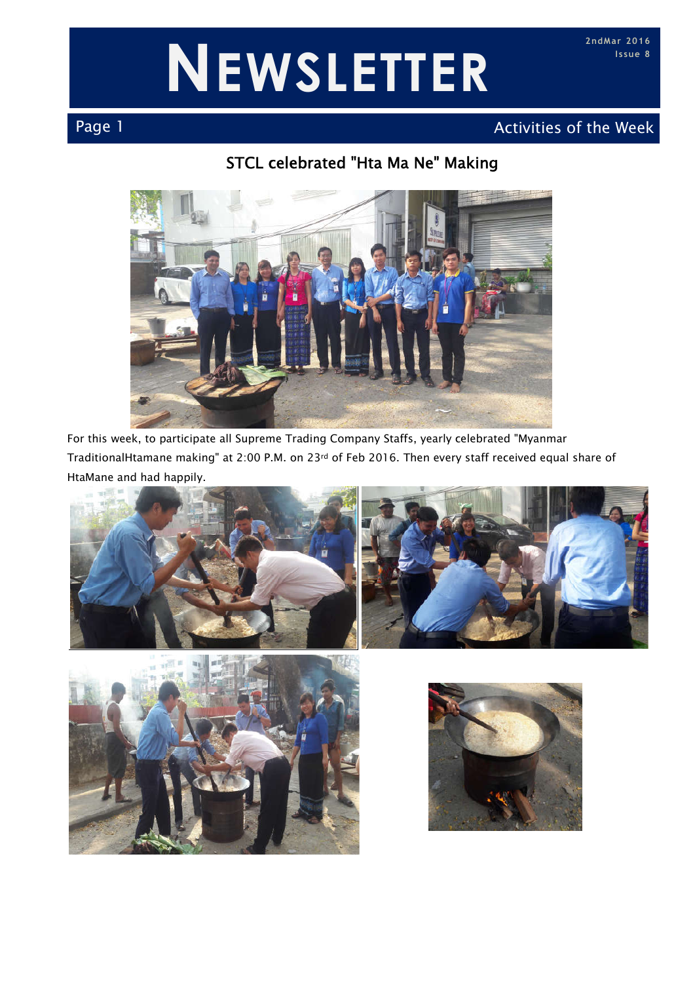# **NEWSLETTER**

### Page 1 Activities of the Week Page 1 Activities of the Week

#### STCL celebrated "Hta Ma Ne" Making



For this week, to participate all Supreme Trading Company Staffs, yearly celebrated "Myanmar TraditionalHtamane making" at 2:00 P.M. on 23rd of Feb 2016. Then every staff received equal share of HtaMane and had happily.





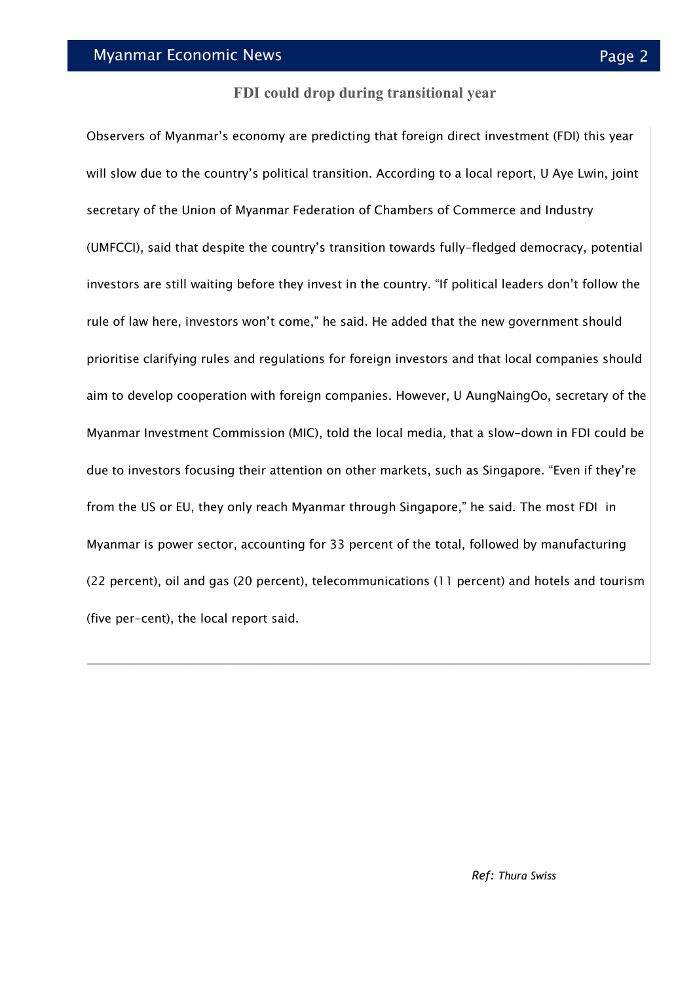#### **FDI could drop during transitional year**

Observers of Myanmar's economy are predicting that foreign direct investment (FDI) this year will slow due to the country's political transition. According to a local report, U Aye Lwin, joint secretary of the Union of Myanmar Federation of Chambers of Commerce and Industry (UMFCCI), said that despite the country's transition towards fully-fledged democracy, potential investors are still waiting before they invest in the country. "If political leaders don't follow the rule of law here, investors won't come," he said. He added that the new government should prioritise clarifying rules and regulations for foreign investors and that local companies should aim to develop cooperation with foreign companies. However, U AungNaingOo, secretary of the Myanmar Investment Commission (MIC), told the local media, that a slow-down in FDI could be due to investors focusing their attention on other markets, such as Singapore. "Even if they're from the US or EU, they only reach Myanmar through Singapore," he said. The most FDI in Myanmar is power sector, accounting for 33 percent of the total, followed by manufacturing (22 percent), oil and gas (20 percent), telecommunications (11 percent) and hotels and tourism (five per-cent), the local report said.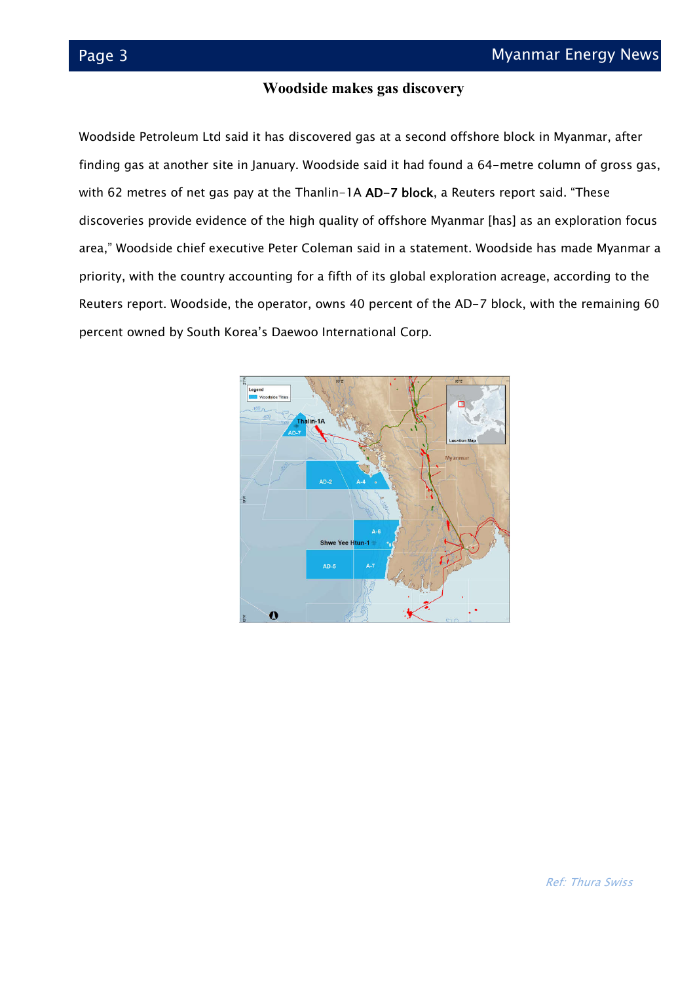#### **Woodside makes gas discovery**

Woodside Petroleum Ltd said it has discovered gas at a second offshore block in Myanmar, after finding gas at another site in January. Woodside said it had found a 64-metre column of gross gas, with 62 metres of net gas pay at the Thanlin-1A AD-7 block, a Reuters report said. "These discoveries provide evidence of the high quality of offshore Myanmar [has] as an exploration focus area," Woodside chief executive Peter Coleman said in a statement. Woodside has made Myanmar a priority, with the country accounting for a fifth of its global exploration acreage, according to the Reuters report. Woodside, the operator, owns 40 percent of the AD-7 block, with the remaining 60 percent owned by South Korea's Daewoo International Corp.

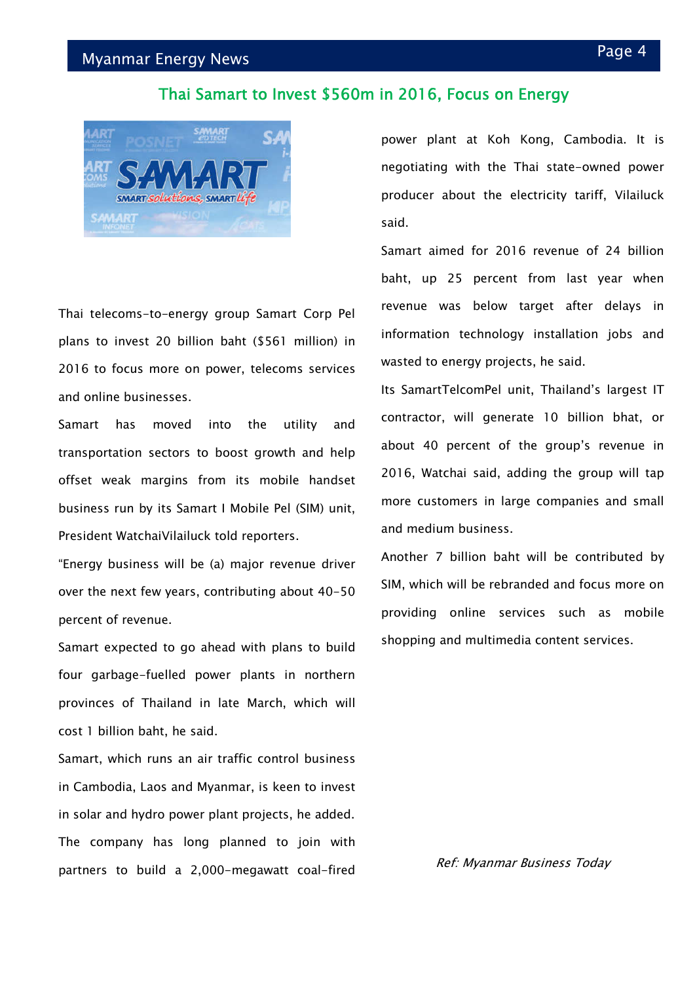#### Page 4 Myanmar Energy News

#### Thai Samart to Invest \$560m in 2016, Focus on Energy



Thai telecoms-to-energy group Samart Corp Pel plans to invest 20 billion baht (\$561 million) in 2016 to focus more on power, telecoms services and online businesses.

Samart has moved into the utility and transportation sectors to boost growth and help offset weak margins from its mobile handset business run by its Samart I Mobile Pel (SIM) unit, President WatchaiVilailuck told reporters.

"Energy business will be (a) major revenue driver over the next few years, contributing about 40-50 percent of revenue.

Samart expected to go ahead with plans to build four garbage-fuelled power plants in northern provinces of Thailand in late March, which will cost 1 billion baht, he said.

Samart, which runs an air traffic control business in Cambodia, Laos and Myanmar, is keen to invest in solar and hydro power plant projects, he added. The company has long planned to join with partners to build a 2,000-megawatt coal-fired power plant at Koh Kong, Cambodia. It is negotiating with the Thai state-owned power producer about the electricity tariff, Vilailuck said.

Samart aimed for 2016 revenue of 24 billion baht, up 25 percent from last year when revenue was below target after delays in information technology installation jobs and wasted to energy projects, he said.

Its SamartTelcomPel unit, Thailand's largest IT contractor, will generate 10 billion bhat, or about 40 percent of the group's revenue in 2016, Watchai said, adding the group will tap more customers in large companies and small and medium business.

Another 7 billion baht will be contributed by SIM, which will be rebranded and focus more on providing online services such as mobile shopping and multimedia content services.

Ref: Myanmar Business Today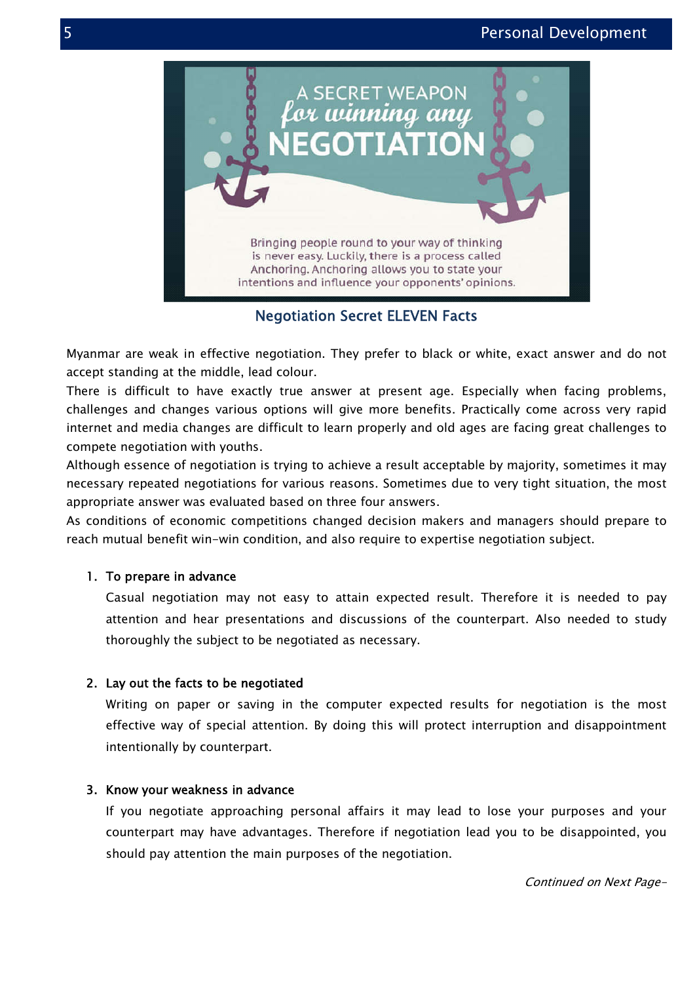

Negotiation Secret ELEVEN Facts Facts

Myanmar are weak in effective negotiation. They prefer to black or white, exact answer and do not accept standing at the middle, lead colour.

There is difficult to have exactly true answer at present age. Especially when facing problems, challenges and changes various options will give more benefits. Practically come across very rapid internet and media changes are difficult to learn properly and old ages are facing great challenges to compete negotiation with youths. Myanmar are weak in effective negotiation. They prefer to black or white, exact answer and do not<br>accept standing at the middle, lead colour.<br>There is difficult to have exactly true answer at present age. Especially when f

Although essence of negotiation is trying to achieve a result acceptable by majority, some necessary repeated negotiations for various reasons. Sometimes due to very tight situation, the most appropriate answer was evaluated based on three four answers.

appropriate answer was evaluated based on three four answers.<br>As conditions of economic competitions changed decision makers and managers should prepare to reach mutual benefit win-win condition, and also require to expertise negotiation subject.

#### 1. To prepare in advance

nutual benefit win–win condition, and also require to expertise negotiation subject.<br>**To prepare in advance**<br>Casual negotiation may not easy to attain expected result. Therefore it is needed to pay attention and hear presentations and discussions of the counterpart. Also needed to study thoroughly the subject to be negotiated as necessary.

#### 2. Lay out the facts to be negotiated

Writing on paper or saving in the computer expected results for negotiation is the most attention and hear presentations and discussions of the counterpart. Also needed to study<br>thoroughly the subject to be negotiated<br>Lay out the facts to be negotiated<br>Writing on paper or saving in the computer expected resul intentionally by counterpart.

#### 3. Know your weakness in advance

If you negotiate approaching personal affairs it may lead to lose your purposes and your If you negotiate approaching personal affairs it may lead to lose your purposes and your<br>counterpart may have advantages. Therefore if negotiation lead you to be disappointed, you should pay attention the main purposes of the negotiation.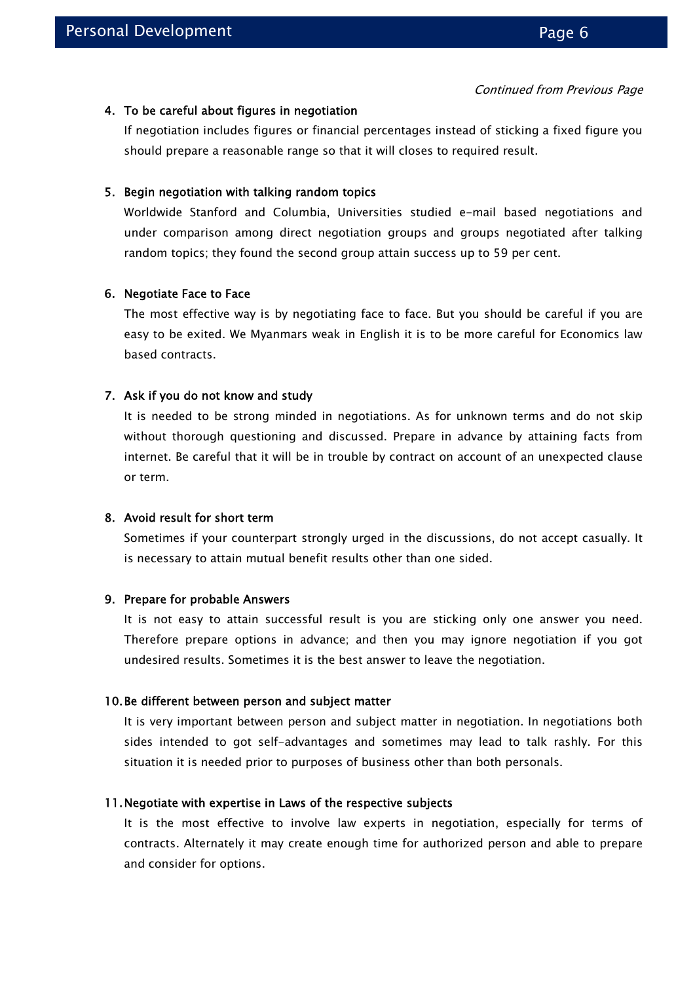#### 4. To be careful about figures in negotiation

If negotiation includes figures or financial percentages instead of sticking a fixed figure you should prepare a reasonable range so that it will closes to required result.

#### 5. Begin negotiation with talking random topics

Worldwide Stanford and Columbia, Universities studied e-mail based negotiations and under comparison among direct negotiation groups and groups negotiated after talking random topics; they found the second group attain success up to 59 per cent.

#### 6. Negotiate Face to Face

The most effective way is by negotiating face to face. But you should be careful if you are easy to be exited. We Myanmars weak in English it is to be more careful for Economics law based contracts.

#### 7. Ask if you do not know and study

It is needed to be strong minded in negotiations. As for unknown terms and do not skip without thorough questioning and discussed. Prepare in advance by attaining facts from internet. Be careful that it will be in trouble by contract on account of an unexpected clause or term.

#### 8. Avoid result for short term

Sometimes if your counterpart strongly urged in the discussions, do not accept casually. It is necessary to attain mutual benefit results other than one sided.

#### 9. Prepare for probable Answers

It is not easy to attain successful result is you are sticking only one answer you need. Therefore prepare options in advance; and then you may ignore negotiation if you got undesired results. Sometimes it is the best answer to leave the negotiation.

#### 10.Be different between person and subject matter

It is very important between person and subject matter in negotiation. In negotiations both sides intended to got self-advantages and sometimes may lead to talk rashly. For this situation it is needed prior to purposes of business other than both personals.

#### 11.Negotiate with expertise in Laws of the respective subjects

It is the most effective to involve law experts in negotiation, especially for terms of contracts. Alternately it may create enough time for authorized person and able to prepare and consider for options.